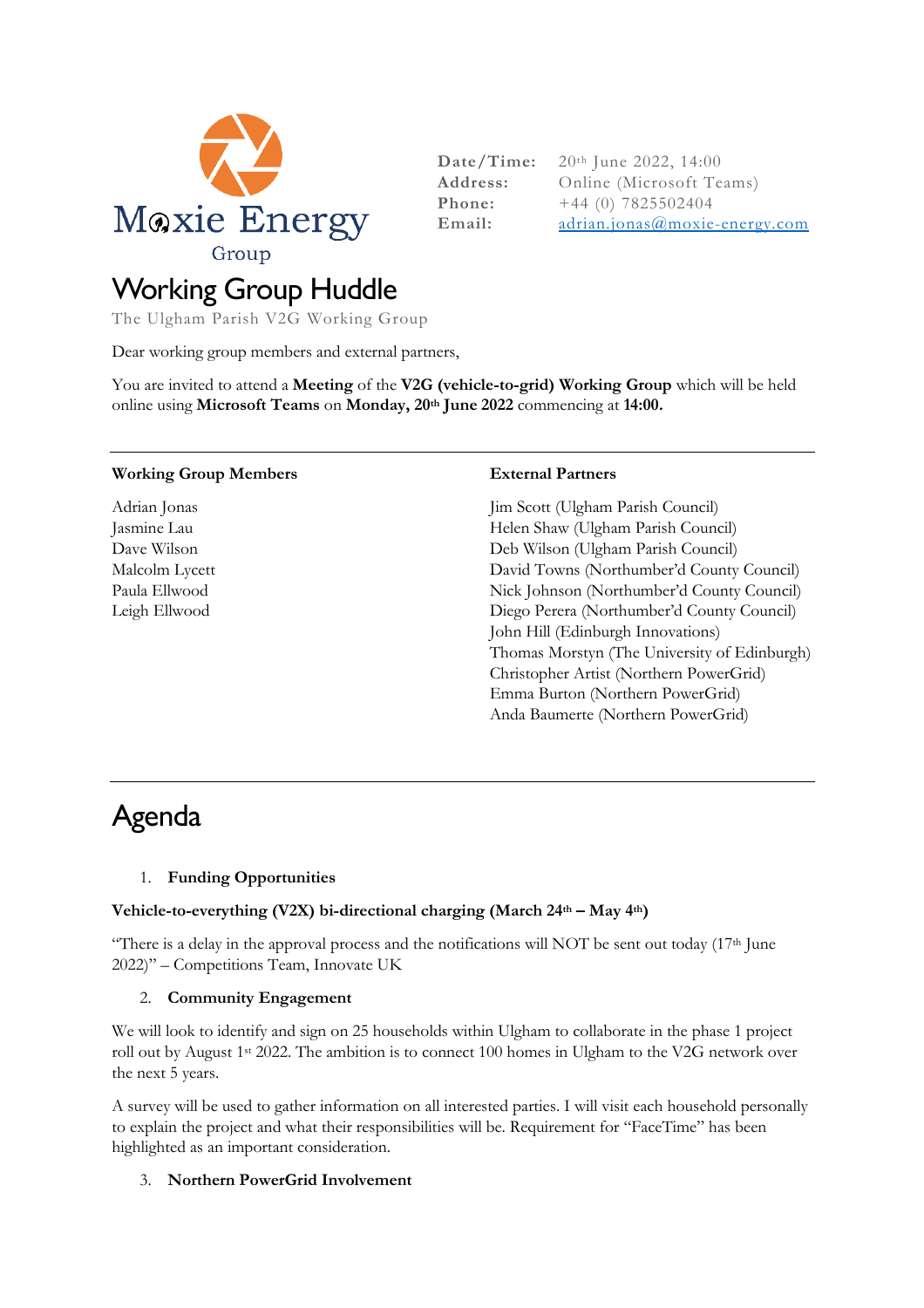

**Date/Time:** 20th June 2022, 14:00 **Address:** Online (Microsoft Teams) **Phone:**  $+44$  (0) 7825502404 **Email:**  $\frac{adrian.jonas@movie-energy.com}{adrian.jonas@movie-energy.com}$ 

# Working Group Huddle

The Ulgham Parish V2G Working Group

Dear working group members and external partners,

You are invited to attend a **Meeting** of the **V2G (vehicle-to-grid) Working Group** which will be held online using **Microsoft Teams** on **Monday, 20th June 2022** commencing at **14:00.** 

#### **Working Group Members**

Adrian Jonas Jasmine Lau Dave Wilson Malcolm Lycett Paula Ellwood Leigh Ellwood

#### **External Partners**

Jim Scott (Ulgham Parish Council) Helen Shaw (Ulgham Parish Council) Deb Wilson (Ulgham Parish Council) David Towns (Northumber'd County Council) Nick Johnson (Northumber'd County Council) Diego Perera (Northumber'd County Council) John Hill (Edinburgh Innovations) Thomas Morstyn (The University of Edinburgh) Christopher Artist (Northern PowerGrid) Emma Burton (Northern PowerGrid) Anda Baumerte (Northern PowerGrid)

# Agenda

### 1. **Funding Opportunities**

### **Vehicle-to-everything (V2X) bi-directional charging (March 24th – May 4th)**

"There is a delay in the approval process and the notifications will NOT be sent out today  $(17<sup>th</sup>)$  June 2022)" – Competitions Team, Innovate UK

### 2. **Community Engagement**

We will look to identify and sign on 25 households within Ulgham to collaborate in the phase 1 project roll out by August 1st 2022. The ambition is to connect 100 homes in Ulgham to the V2G network over the next 5 years.

A survey will be used to gather information on all interested parties. I will visit each household personally to explain the project and what their responsibilities will be. Requirement for "FaceTime" has been highlighted as an important consideration.

### 3. **Northern PowerGrid Involvement**